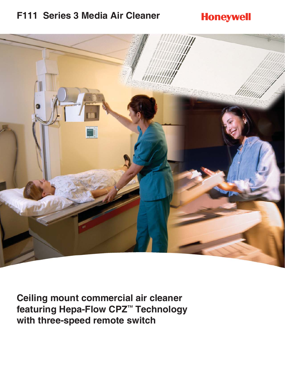### **F111 Series 3 Media Air Cleaner**

## **Honeywell**



**Ceiling mount commercial air cleaner featuring Hepa-Flow CPZ™ Technology with three-speed remote switch**